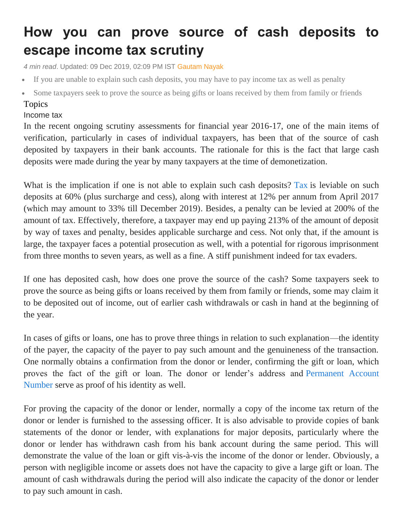## **How you can prove source of cash deposits to escape income tax scrutiny**

*4 min read*. Updated: 09 Dec 2019, 02:09 PM IST [Gautam Nayak](https://www.livemint.com/Search/Link/Author/Gautam%20Nayak)

- If you are unable to explain such cash deposits, you may have to pay income tax as well as penalty
- Some taxpayers seek to prove the source as being gifts or loans received by them from family or friends

## Topics

## [Income](https://www.livemint.com/topic/income-tax) tax

In the recent ongoing scrutiny assessments for financial year 2016-17, one of the main items of verification, particularly in cases of individual taxpayers, has been that of the source of cash deposited by taxpayers in their bank accounts. The rationale for this is the fact that large cash deposits were made during the year by many taxpayers at the time of demonetization.

What is the implication if one is not able to explain such cash deposits? [Tax](https://www.livemint.com/money/personal-finance/personal-income-tax-rate-cut-soon-hints-nirmala-sitharaman-11575705107476.html) is leviable on such deposits at 60% (plus surcharge and cess), along with interest at 12% per annum from April 2017 (which may amount to 33% till December 2019). Besides, a penalty can be levied at 200% of the amount of tax. Effectively, therefore, a taxpayer may end up paying 213% of the amount of deposit by way of taxes and penalty, besides applicable surcharge and cess. Not only that, if the amount is large, the taxpayer faces a potential prosecution as well, with a potential for rigorous imprisonment from three months to seven years, as well as a fine. A stiff punishment indeed for tax evaders.

If one has deposited cash, how does one prove the source of the cash? Some taxpayers seek to prove the source as being gifts or loans received by them from family or friends, some may claim it to be deposited out of income, out of earlier cash withdrawals or cash in hand at the beginning of the year.

In cases of gifts or loans, one has to prove three things in relation to such explanation—the identity of the payer, the capacity of the payer to pay such amount and the genuineness of the transaction. One normally obtains a confirmation from the donor or lender, confirming the gift or loan, which proves the fact of the gift or loan. The donor or lender's address and [Permanent Account](https://www.livemint.com/money/personal-finance/pan-card-what-will-happen-if-you-don-t-link-it-with-aadhaar-this-month-11575016331254.html)  [Number](https://www.livemint.com/money/personal-finance/pan-card-what-will-happen-if-you-don-t-link-it-with-aadhaar-this-month-11575016331254.html) serve as proof of his identity as well.

For proving the capacity of the donor or lender, normally a copy of the income tax return of the donor or lender is furnished to the assessing officer. It is also advisable to provide copies of bank statements of the donor or lender, with explanations for major deposits, particularly where the donor or lender has withdrawn cash from his bank account during the same period. This will demonstrate the value of the loan or gift vis-à-vis the income of the donor or lender. Obviously, a person with negligible income or assets does not have the capacity to give a large gift or loan. The amount of cash withdrawals during the period will also indicate the capacity of the donor or lender to pay such amount in cash.